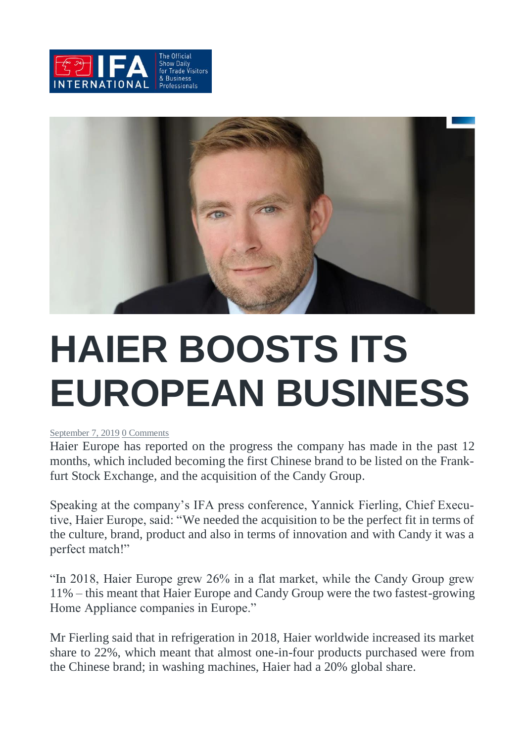



## **HAIER BOOSTS ITS EUROPEAN BUSINESS**

#### [September](https://ifa-international.org/2019/09/07/haier-boosts-its-european-business/) 7, 2019 0 [Comments](https://ifa-international.org/2019/09/07/haier-boosts-its-european-business/#comments)

Haier Europe has reported on the progress the company has made in the past 12 months, which included becoming the first Chinese brand to be listed on the Frankfurt Stock Exchange, and the acquisition of the Candy Group.

Speaking at the company's IFA press conference, Yannick Fierling, Chief Executive, Haier Europe, said: "We needed the acquisition to be the perfect fit in terms of the culture, brand, product and also in terms of innovation and with Candy it was a perfect match!"

"In 2018, Haier Europe grew 26% in a flat market, while the Candy Group grew 11% – this meant that Haier Europe and Candy Group were the two fastest-growing Home Appliance companies in Europe."

Mr Fierling said that in refrigeration in 2018, Haier worldwide increased its market share to 22%, which meant that almost one-in-four products purchased were from the Chinese brand; in washing machines, Haier had a 20% global share.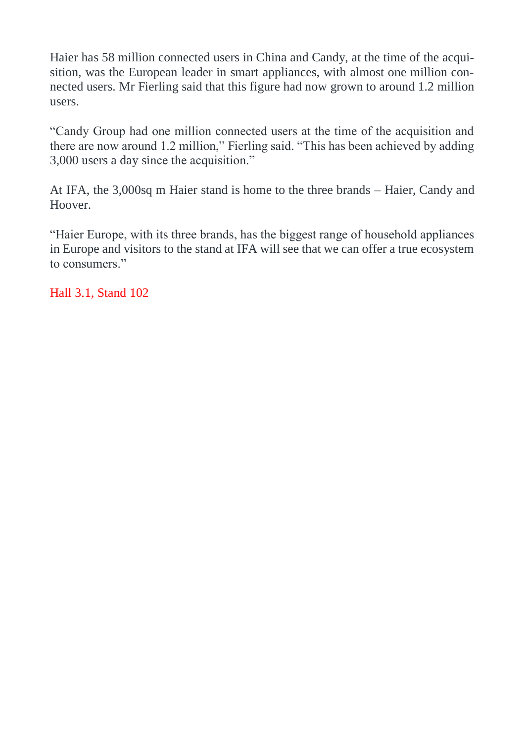Haier has 58 million connected users in China and Candy, at the time of the acquisition, was the European leader in smart appliances, with almost one million connected users. Mr Fierling said that this figure had now grown to around 1.2 million users.

"Candy Group had one million connected users at the time of the acquisition and there are now around 1.2 million," Fierling said. "This has been achieved by adding 3,000 users a day since the acquisition."

At IFA, the 3,000sq m Haier stand is home to the three brands – Haier, Candy and Hoover.

"Haier Europe, with its three brands, has the biggest range of household appliances in Europe and visitors to the stand at IFA will see that we can offer a true ecosystem to consumers."

Hall 3.1, Stand 102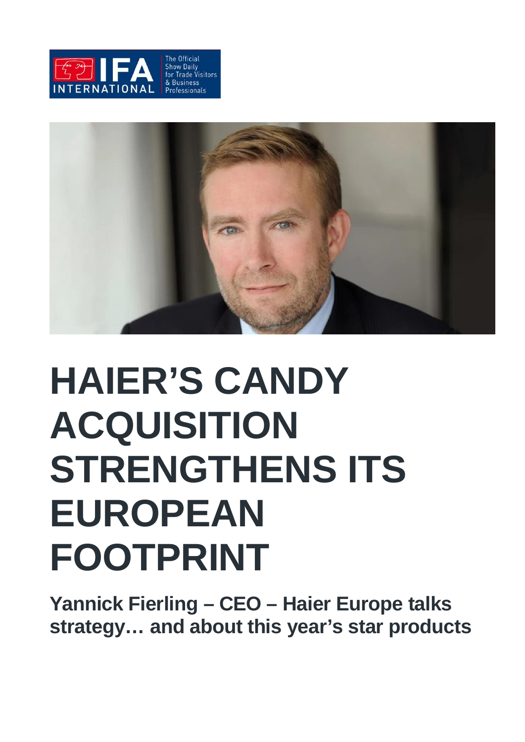



# **HAIER'S CANDY ACQUISITION STRENGTHENS ITS EUROPEAN FOOTPRINT**

**Yannick Fierling – CEO – Haier Europe talks strategy… and about this year's star products**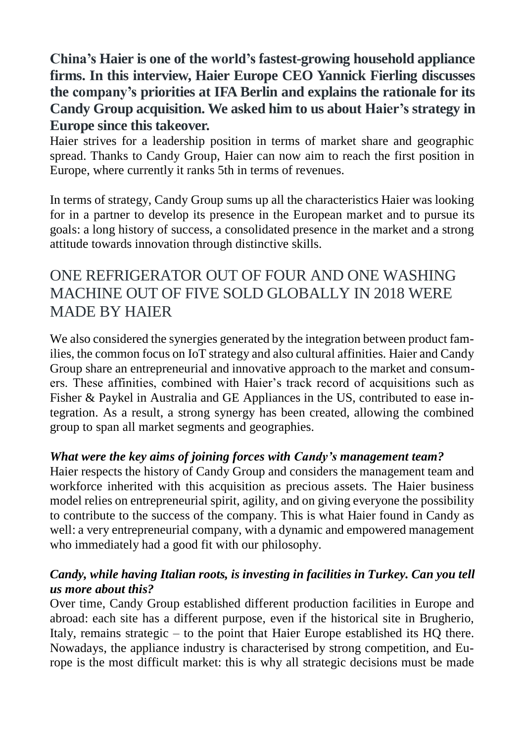**China's Haier is one of the world's fastest-growing household appliance firms. In this interview, Haier Europe CEO Yannick Fierling discusses the company's priorities at IFA Berlin and explains the rationale for its Candy Group acquisition. We asked him to us about Haier's strategy in Europe since this takeover.**

Haier strives for a leadership position in terms of market share and geographic spread. Thanks to Candy Group, Haier can now aim to reach the first position in Europe, where currently it ranks 5th in terms of revenues.

In terms of strategy, Candy Group sums up all the characteristics Haier was looking for in a partner to develop its presence in the European market and to pursue its goals: a long history of success, a consolidated presence in the market and a strong attitude towards innovation through distinctive skills.

## ONE REFRIGERATOR OUT OF FOUR AND ONE WASHING MACHINE OUT OF FIVE SOLD GLOBALLY IN 2018 WERE MADE BY HAIER

We also considered the synergies generated by the integration between product families, the common focus on IoT strategy and also cultural affinities. Haier and Candy Group share an entrepreneurial and innovative approach to the market and consumers. These affinities, combined with Haier's track record of acquisitions such as Fisher & Paykel in Australia and GE Appliances in the US, contributed to ease integration. As a result, a strong synergy has been created, allowing the combined group to span all market segments and geographies.

### *What were the key aims of joining forces with Candy's management team?*

Haier respects the history of Candy Group and considers the management team and workforce inherited with this acquisition as precious assets. The Haier business model relies on entrepreneurial spirit, agility, and on giving everyone the possibility to contribute to the success of the company. This is what Haier found in Candy as well: a very entrepreneurial company, with a dynamic and empowered management who immediately had a good fit with our philosophy.

#### *Candy, while having Italian roots, is investing in facilities in Turkey. Can you tell us more about this?*

Over time, Candy Group established different production facilities in Europe and abroad: each site has a different purpose, even if the historical site in Brugherio, Italy, remains strategic – to the point that Haier Europe established its HQ there. Nowadays, the appliance industry is characterised by strong competition, and Europe is the most difficult market: this is why all strategic decisions must be made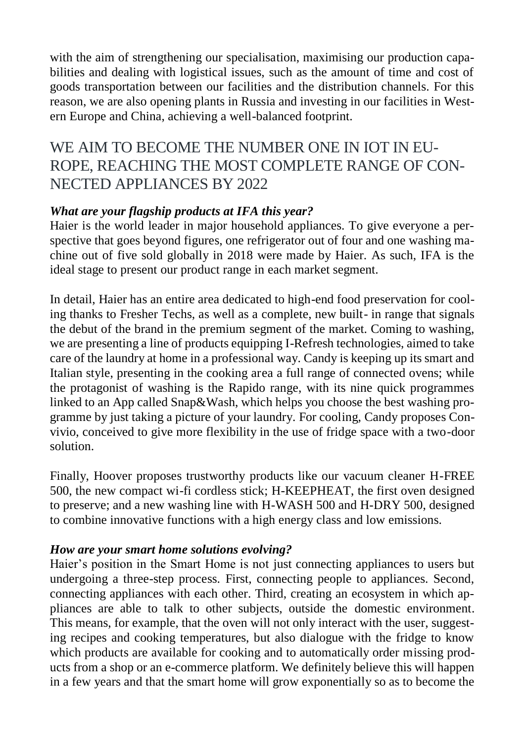with the aim of strengthening our specialisation, maximising our production capabilities and dealing with logistical issues, such as the amount of time and cost of goods transportation between our facilities and the distribution channels. For this reason, we are also opening plants in Russia and investing in our facilities in Western Europe and China, achieving a well-balanced footprint.

### WE AIM TO BECOME THE NUMBER ONE IN IOT IN EU-ROPE, REACHING THE MOST COMPLETE RANGE OF CON-NECTED APPLIANCES BY 2022

#### *What are your flagship products at IFA this year?*

Haier is the world leader in major household appliances. To give everyone a perspective that goes beyond figures, one refrigerator out of four and one washing machine out of five sold globally in 2018 were made by Haier. As such, IFA is the ideal stage to present our product range in each market segment.

In detail, Haier has an entire area dedicated to high-end food preservation for cooling thanks to Fresher Techs, as well as a complete, new built- in range that signals the debut of the brand in the premium segment of the market. Coming to washing, we are presenting a line of products equipping I-Refresh technologies, aimed to take care of the laundry at home in a professional way. Candy is keeping up its smart and Italian style, presenting in the cooking area a full range of connected ovens; while the protagonist of washing is the Rapido range, with its nine quick programmes linked to an App called Snap&Wash, which helps you choose the best washing programme by just taking a picture of your laundry. For cooling, Candy proposes Convivio, conceived to give more flexibility in the use of fridge space with a two-door solution.

Finally, Hoover proposes trustworthy products like our vacuum cleaner H-FREE 500, the new compact wi-fi cordless stick; H-KEEPHEAT, the first oven designed to preserve; and a new washing line with H-WASH 500 and H-DRY 500, designed to combine innovative functions with a high energy class and low emissions.

#### *How are your smart home solutions evolving?*

Haier's position in the Smart Home is not just connecting appliances to users but undergoing a three-step process. First, connecting people to appliances. Second, connecting appliances with each other. Third, creating an ecosystem in which appliances are able to talk to other subjects, outside the domestic environment. This means, for example, that the oven will not only interact with the user, suggesting recipes and cooking temperatures, but also dialogue with the fridge to know which products are available for cooking and to automatically order missing products from a shop or an e-commerce platform. We definitely believe this will happen in a few years and that the smart home will grow exponentially so as to become the